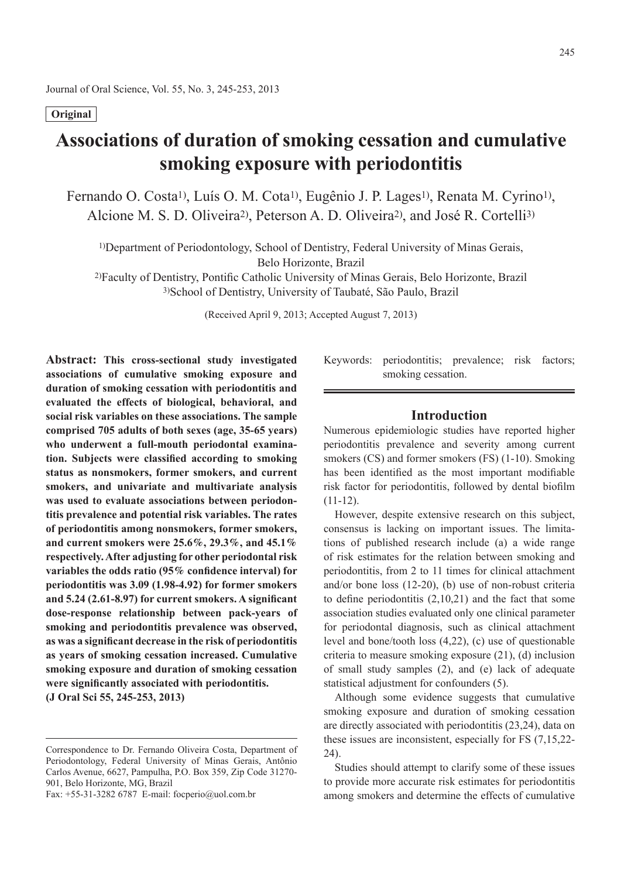## **Original**

# **Associations of duration of smoking cessation and cumulative smoking exposure with periodontitis**

Fernando O. Costa<sup>1)</sup>, Luís O. M. Cota<sup>1)</sup>, Eugênio J. P. Lages<sup>1)</sup>, Renata M. Cyrino<sup>1)</sup>, Alcione M. S. D. Oliveira2), Peterson A. D. Oliveira2), and José R. Cortelli3)

1)Department of Periodontology, School of Dentistry, Federal University of Minas Gerais,

Belo Horizonte, Brazil

2)Faculty of Dentistry, Pontific Catholic University of Minas Gerais, Belo Horizonte, Brazil 3)School of Dentistry, University of Taubaté, São Paulo, Brazil

(Received April 9, 2013; Accepted August 7, 2013)

**Abstract: This cross-sectional study investigated associations of cumulative smoking exposure and duration of smoking cessation with periodontitis and evaluated the effects of biological, behavioral, and social risk variables on these associations. The sample comprised 705 adults of both sexes (age, 35-65 years) who underwent a full-mouth periodontal examination. Subjects were classified according to smoking status as nonsmokers, former smokers, and current smokers, and univariate and multivariate analysis was used to evaluate associations between periodontitis prevalence and potential risk variables. The rates of periodontitis among nonsmokers, former smokers, and current smokers were 25.6%, 29.3%, and 45.1% respectively. After adjusting for other periodontal risk variables the odds ratio (95% confidence interval) for periodontitis was 3.09 (1.98-4.92) for former smokers and 5.24 (2.61-8.97) for current smokers. A significant dose-response relationship between pack-years of smoking and periodontitis prevalence was observed, as was a significant decrease in the risk of periodontitis as years of smoking cessation increased. Cumulative smoking exposure and duration of smoking cessation were significantly associated with periodontitis. (J Oral Sci 55, 245-253, 2013)**

Fax: +55-31-3282 6787 E-mail: focperio@uol.com.br

Keywords: periodontitis; prevalence; risk factors; smoking cessation.

## **Introduction**

Numerous epidemiologic studies have reported higher periodontitis prevalence and severity among current smokers (CS) and former smokers (FS)  $(1-10)$ . Smoking has been identified as the most important modifiable risk factor for periodontitis, followed by dental biofilm  $(11-12)$ .

However, despite extensive research on this subject, consensus is lacking on important issues. The limitations of published research include (a) a wide range of risk estimates for the relation between smoking and periodontitis, from 2 to 11 times for clinical attachment and/or bone loss (12-20), (b) use of non-robust criteria to define periodontitis  $(2,10,21)$  and the fact that some association studies evaluated only one clinical parameter for periodontal diagnosis, such as clinical attachment level and bone/tooth loss (4,22), (c) use of questionable criteria to measure smoking exposure (21), (d) inclusion of small study samples (2), and (e) lack of adequate statistical adjustment for confounders (5).

Although some evidence suggests that cumulative smoking exposure and duration of smoking cessation are directly associated with periodontitis (23,24), data on these issues are inconsistent, especially for FS (7,15,22- 24).

Studies should attempt to clarify some of these issues to provide more accurate risk estimates for periodontitis among smokers and determine the effects of cumulative

Correspondence to Dr. Fernando Oliveira Costa, Department of Periodontology, Federal University of Minas Gerais, Antônio Carlos Avenue, 6627, Pampulha, P.O. Box 359, Zip Code 31270- 901, Belo Horizonte, MG, Brazil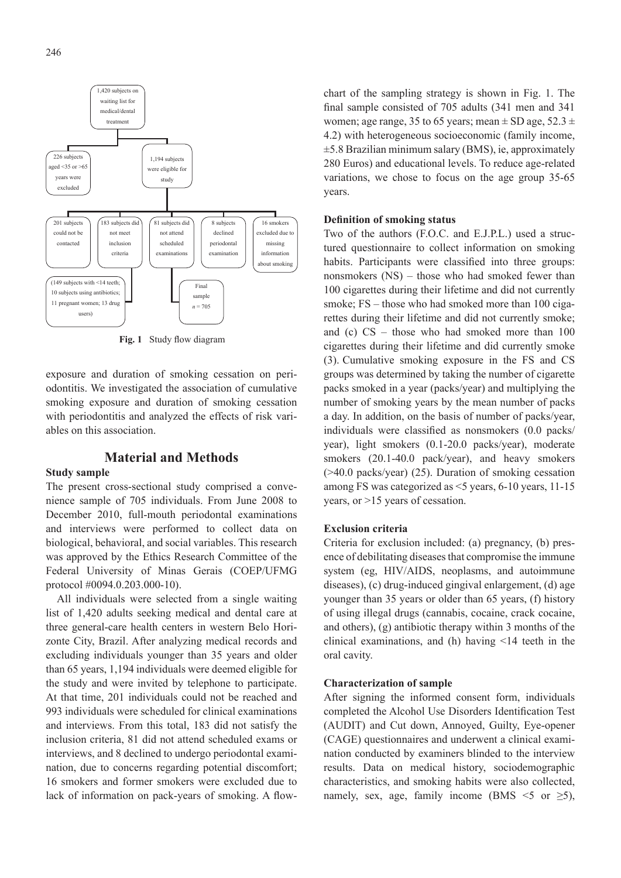

**Fig. 1** Study flow diagram

exposure and duration of smoking cessation on periodontitis. We investigated the association of cumulative smoking exposure and duration of smoking cessation with periodontitis and analyzed the effects of risk variables on this association.

## **Material and Methods**

## **Study sample**

The present cross-sectional study comprised a convenience sample of 705 individuals. From June 2008 to December 2010, full-mouth periodontal examinations and interviews were performed to collect data on biological, behavioral, and social variables. This research was approved by the Ethics Research Committee of the Federal University of Minas Gerais (COEP/UFMG protocol #0094.0.203.000-10).

All individuals were selected from a single waiting list of 1,420 adults seeking medical and dental care at three general-care health centers in western Belo Horizonte City, Brazil. After analyzing medical records and excluding individuals younger than 35 years and older than 65 years, 1,194 individuals were deemed eligible for the study and were invited by telephone to participate. At that time, 201 individuals could not be reached and 993 individuals were scheduled for clinical examinations and interviews. From this total, 183 did not satisfy the inclusion criteria, 81 did not attend scheduled exams or interviews, and 8 declined to undergo periodontal examination, due to concerns regarding potential discomfort; 16 smokers and former smokers were excluded due to lack of information on pack-years of smoking. A flowchart of the sampling strategy is shown in Fig. 1. The final sample consisted of 705 adults (341 men and 341 women; age range, 35 to 65 years; mean  $\pm$  SD age, 52.3  $\pm$ 4.2) with heterogeneous socioeconomic (family income, ±5.8 Brazilian minimum salary (BMS), ie, approximately 280 Euros) and educational levels. To reduce age-related variations, we chose to focus on the age group 35-65 years.

#### **Definition of smoking status**

Two of the authors (F.O.C. and E.J.P.L.) used a structured questionnaire to collect information on smoking habits. Participants were classified into three groups: nonsmokers (NS) – those who had smoked fewer than 100 cigarettes during their lifetime and did not currently smoke; FS – those who had smoked more than 100 cigarettes during their lifetime and did not currently smoke; and (c) CS – those who had smoked more than 100 cigarettes during their lifetime and did currently smoke (3). Cumulative smoking exposure in the FS and CS groups was determined by taking the number of cigarette packs smoked in a year (packs/year) and multiplying the number of smoking years by the mean number of packs a day. In addition, on the basis of number of packs/year, individuals were classified as nonsmokers (0.0 packs/ year), light smokers (0.1-20.0 packs/year), moderate smokers (20.1-40.0 pack/year), and heavy smokers (>40.0 packs/year) (25). Duration of smoking cessation among FS was categorized as <5 years, 6-10 years, 11-15 years, or >15 years of cessation.

## **Exclusion criteria**

Criteria for exclusion included: (a) pregnancy, (b) presence of debilitating diseases that compromise the immune system (eg, HIV/AIDS, neoplasms, and autoimmune diseases), (c) drug-induced gingival enlargement, (d) age younger than 35 years or older than 65 years, (f) history of using illegal drugs (cannabis, cocaine, crack cocaine, and others), (g) antibiotic therapy within 3 months of the clinical examinations, and (h) having <14 teeth in the oral cavity.

#### **Characterization of sample**

After signing the informed consent form, individuals completed the Alcohol Use Disorders Identification Test (AUDIT) and Cut down, Annoyed, Guilty, Eye-opener (CAGE) questionnaires and underwent a clinical examination conducted by examiners blinded to the interview results. Data on medical history, sociodemographic characteristics, and smoking habits were also collected, namely, sex, age, family income (BMS  $\leq$  5 or  $\geq$  5),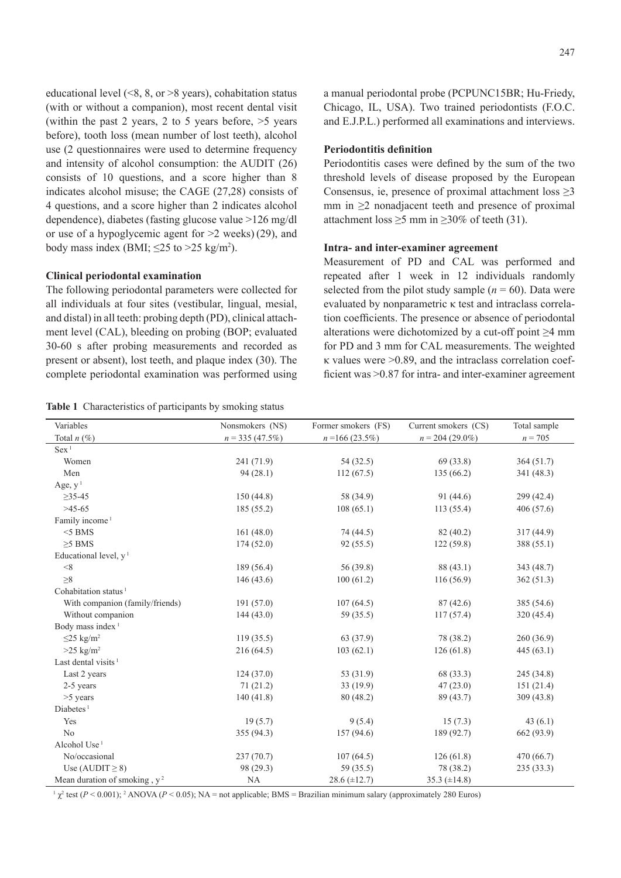educational level  $($ <8, 8, or >8 years), cohabitation status (with or without a companion), most recent dental visit (within the past 2 years, 2 to 5 years before,  $>5$  years before), tooth loss (mean number of lost teeth), alcohol use (2 questionnaires were used to determine frequency and intensity of alcohol consumption: the AUDIT (26) consists of 10 questions, and a score higher than 8 indicates alcohol misuse; the CAGE (27,28) consists of 4 questions, and a score higher than 2 indicates alcohol dependence), diabetes (fasting glucose value >126 mg/dl or use of a hypoglycemic agent for  $>2$  weeks) (29), and body mass index (BMI;  $\leq$ 25 to >25 kg/m<sup>2</sup>).

#### **Clinical periodontal examination**

The following periodontal parameters were collected for all individuals at four sites (vestibular, lingual, mesial, and distal) in all teeth: probing depth (PD), clinical attachment level (CAL), bleeding on probing (BOP; evaluated 30-60 s after probing measurements and recorded as present or absent), lost teeth, and plaque index (30). The complete periodontal examination was performed using

**Table 1** Characteristics of participants by smoking status

a manual periodontal probe (PCPUNC15BR; Hu-Friedy, Chicago, IL, USA). Two trained periodontists (F.O.C. and E.J.P.L.) performed all examinations and interviews.

## **Periodontitis definition**

Periodontitis cases were defined by the sum of the two threshold levels of disease proposed by the European Consensus, ie, presence of proximal attachment loss  $\geq 3$ mm in  $\geq$ 2 nonadjacent teeth and presence of proximal attachment loss  $\geq 5$  mm in  $\geq 30\%$  of teeth (31).

### **Intra- and inter-examiner agreement**

Measurement of PD and CAL was performed and repeated after 1 week in 12 individuals randomly selected from the pilot study sample  $(n = 60)$ . Data were evaluated by nonparametric κ test and intraclass correlation coefficients. The presence or absence of periodontal alterations were dichotomized by a cut-off point  $\geq 4$  mm for PD and 3 mm for CAL measurements. The weighted  $\kappa$  values were  $>0.89$ , and the intraclass correlation coefficient was >0.87 for intra- and inter-examiner agreement

| Variables                        | Nonsmokers (NS)   | Former smokers (FS) | Current smokers (CS) | Total sample |
|----------------------------------|-------------------|---------------------|----------------------|--------------|
| Total $n(\%)$                    | $n = 335(47.5\%)$ | $n = 166(23.5\%)$   | $n = 204(29.0\%)$    | $n = 705$    |
| Sex <sup>1</sup>                 |                   |                     |                      |              |
| Women                            | 241 (71.9)        | 54(32.5)            | 69(33.8)             | 364(51.7)    |
| Men                              | 94(28.1)          | 112(67.5)           | 135 (66.2)           | 341 (48.3)   |
| Age, $y1$                        |                   |                     |                      |              |
| $>35-45$                         | 150(44.8)         | 58 (34.9)           | 91(44.6)             | 299 (42.4)   |
| $>45-65$                         | 185(55.2)         | 108(65.1)           | 113(55.4)            | 406 (57.6)   |
| Family income <sup>1</sup>       |                   |                     |                      |              |
| $<$ 5 BMS                        | 161(48.0)         | 74 (44.5)           | 82 (40.2)            | 317 (44.9)   |
| $\geq$ 5 BMS                     | 174(52.0)         | 92(55.5)            | 122(59.8)            | 388 (55.1)   |
| Educational level, $y1$          |                   |                     |                      |              |
| < 8                              | 189 (56.4)        | 56 (39.8)           | 88 (43.1)            | 343 (48.7)   |
| $\geq 8$                         | 146(43.6)         | 100(61.2)           | 116(56.9)            | 362(51.3)    |
| Cohabitation status <sup>1</sup> |                   |                     |                      |              |
| With companion (family/friends)  | 191(57.0)         | 107(64.5)           | 87(42.6)             | 385 (54.6)   |
| Without companion                | 144(43.0)         | 59 (35.5)           | 117(57.4)            | 320(45.4)    |
| Body mass index <sup>1</sup>     |                   |                     |                      |              |
| $\leq$ 25 kg/m <sup>2</sup>      | 119(35.5)         | 63 (37.9)           | 78 (38.2)            | 260(36.9)    |
| $>25$ kg/m <sup>2</sup>          | 216(64.5)         | 103(62.1)           | 126(61.8)            | 445(63.1)    |
| Last dental visits <sup>1</sup>  |                   |                     |                      |              |
| Last 2 years                     | 124(37.0)         | 53 (31.9)           | 68 (33.3)            | 245 (34.8)   |
| 2-5 years                        | 71(21.2)          | 33 (19.9)           | 47(23.0)             | 151(21.4)    |
| $>5$ years                       | 140(41.8)         | 80(48.2)            | 89 (43.7)            | 309(43.8)    |
| Diabetes <sup>1</sup>            |                   |                     |                      |              |
| Yes                              | 19(5.7)           | 9(5.4)              | 15(7.3)              | 43 $(6.1)$   |
| No                               | 355 (94.3)        | 157(94.6)           | 189 (92.7)           | 662 (93.9)   |
| Alcohol Use <sup>1</sup>         |                   |                     |                      |              |
| No/occasional                    | 237(70.7)         | 107(64.5)           | 126(61.8)            | 470 (66.7)   |
| Use (AUDIT $\geq$ 8)             | 98 (29.3)         | 59 (35.5)           | 78 (38.2)            | 235(33.3)    |
| Mean duration of smoking, $y^2$  | NA                | $28.6 (\pm 12.7)$   | 35.3 $(\pm 14.8)$    |              |

 $\frac{1}{\chi^2}$  test (*P* < 0.001); <sup>2</sup> ANOVA (*P* < 0.05); NA = not applicable; BMS = Brazilian minimum salary (approximately 280 Euros)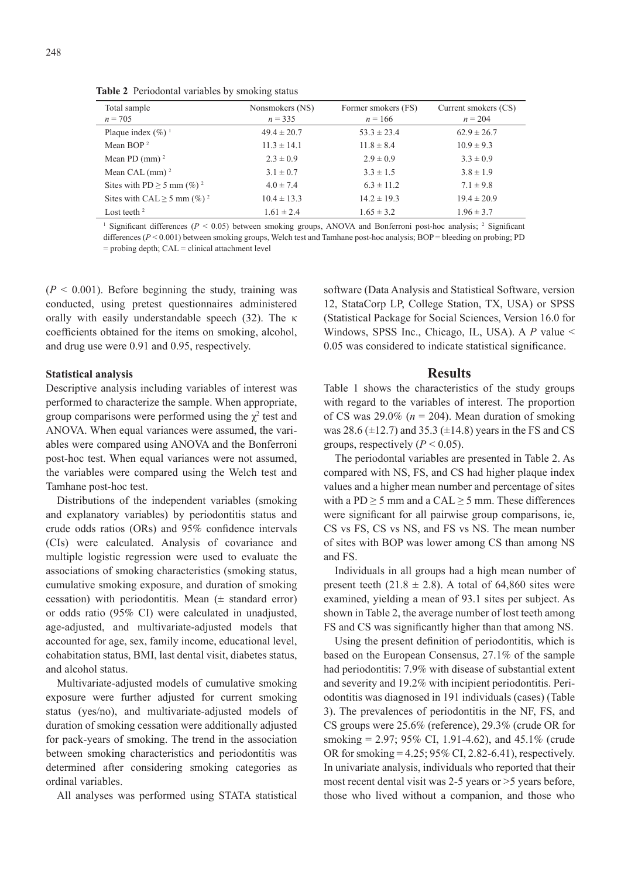Total sample *n* = 705 Nonsmokers (NS) *n* = 335 Former smokers (FS)  $n = 166$ Current smokers (CS)  $n = 204$ Plaque index  $(\%)$ <sup>1</sup> 49.4 ± 20.7 53.3 ± 23.4 62.9 ± 26.7 Mean BOP<sup>2</sup> 11.3 ± 14.1 11.8 ± 8.4 10.9 ± 9.3 Mean PD (mm) <sup>2</sup> 2.3 ± 0.9 2.9 ± 0.9 3.3 ± 0.9 3.3 ± 0.9 Mean CAL (mm) <sup>2</sup> 3.1 ± 0.7 3.3 ± 1.5 3.8 ± 1.9 Sites with PD  $\ge$  5 mm (%)<sup>2</sup> 4.0 ± 7.4 6.3 ± 11.2 7.1 ± 9.8

**Table 2** Periodontal variables by smoking status

<sup>1</sup> Significant differences ( $P < 0.05$ ) between smoking groups, ANOVA and Bonferroni post-hoc analysis;  $\frac{2}{3}$  Significant differences (*P* < 0.001) between smoking groups. Welch test and Tamhane post-hoc analysis: BOP = bleeding on probing: PD  $=$  probing depth;  $CAL =$  clinical attachment level

Sites with CAL  $\ge 5$  mm (%)<sup>2</sup> 10.4 ± 13.3 14.2 ± 19.3 19.4 ± 20.9 Lost teeth <sup>2</sup> 1.61  $\pm$  2.4 1.65  $\pm$  3.2 1.96  $\pm$  3.7

 $(P < 0.001)$ . Before beginning the study, training was conducted, using pretest questionnaires administered orally with easily understandable speech (32). The κ coefficients obtained for the items on smoking, alcohol, and drug use were 0.91 and 0.95, respectively.

#### **Statistical analysis**

Descriptive analysis including variables of interest was performed to characterize the sample. When appropriate, group comparisons were performed using the  $\chi^2$  test and ANOVA. When equal variances were assumed, the variables were compared using ANOVA and the Bonferroni post-hoc test. When equal variances were not assumed, the variables were compared using the Welch test and Tamhane post-hoc test.

Distributions of the independent variables (smoking and explanatory variables) by periodontitis status and crude odds ratios (ORs) and 95% confidence intervals (CIs) were calculated. Analysis of covariance and multiple logistic regression were used to evaluate the associations of smoking characteristics (smoking status, cumulative smoking exposure, and duration of smoking cessation) with periodontitis. Mean  $(±$  standard error) or odds ratio (95% CI) were calculated in unadjusted, age-adjusted, and multivariate-adjusted models that accounted for age, sex, family income, educational level, cohabitation status, BMI, last dental visit, diabetes status, and alcohol status.

Multivariate-adjusted models of cumulative smoking exposure were further adjusted for current smoking status (yes/no), and multivariate-adjusted models of duration of smoking cessation were additionally adjusted for pack-years of smoking. The trend in the association between smoking characteristics and periodontitis was determined after considering smoking categories as ordinal variables.

All analyses was performed using STATA statistical

software (Data Analysis and Statistical Software, version 12, StataCorp LP, College Station, TX, USA) or SPSS (Statistical Package for Social Sciences, Version 16.0 for Windows, SPSS Inc., Chicago, IL, USA). A *P* value < 0.05 was considered to indicate statistical significance.

#### **Results**

Table 1 shows the characteristics of the study groups with regard to the variables of interest. The proportion of CS was  $29.0\%$  ( $n = 204$ ). Mean duration of smoking was 28.6 ( $\pm$ 12.7) and 35.3 ( $\pm$ 14.8) years in the FS and CS groups, respectively  $(P < 0.05)$ .

The periodontal variables are presented in Table 2. As compared with NS, FS, and CS had higher plaque index values and a higher mean number and percentage of sites with a PD  $\geq$  5 mm and a CAL  $\geq$  5 mm. These differences were significant for all pairwise group comparisons, ie, CS vs FS, CS vs NS, and FS vs NS. The mean number of sites with BOP was lower among CS than among NS and FS.

Individuals in all groups had a high mean number of present teeth  $(21.8 \pm 2.8)$ . A total of 64,860 sites were examined, yielding a mean of 93.1 sites per subject. As shown in Table 2, the average number of lost teeth among FS and CS was significantly higher than that among NS.

Using the present definition of periodontitis, which is based on the European Consensus, 27.1% of the sample had periodontitis: 7.9% with disease of substantial extent and severity and 19.2% with incipient periodontitis. Periodontitis was diagnosed in 191 individuals (cases) (Table 3). The prevalences of periodontitis in the NF, FS, and CS groups were 25.6% (reference), 29.3% (crude OR for smoking = 2.97; 95% CI, 1.91-4.62), and 45.1% (crude OR for smoking = 4.25; 95% CI, 2.82-6.41), respectively. In univariate analysis, individuals who reported that their most recent dental visit was 2-5 years or >5 years before, those who lived without a companion, and those who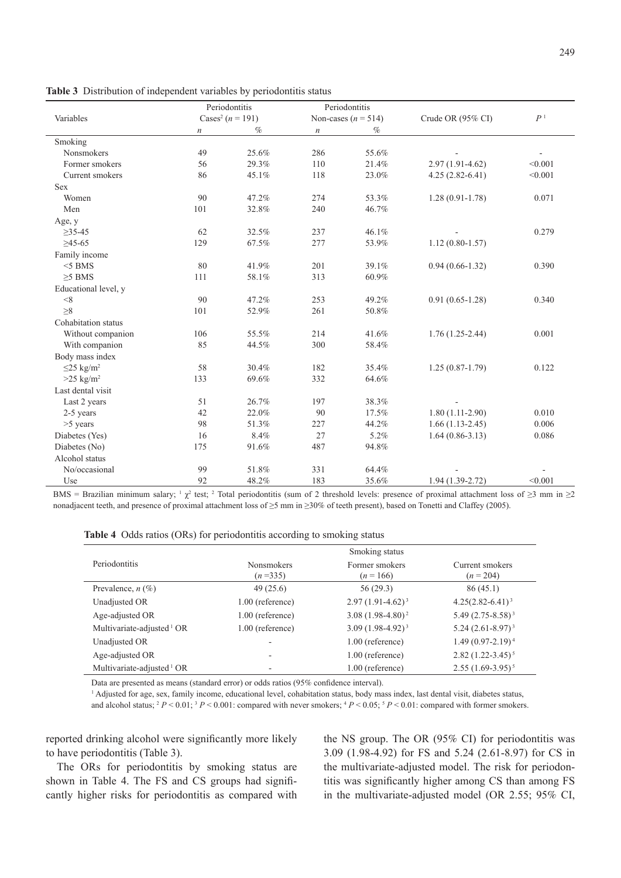|                             | Periodontitis<br>Periodontitis |                                      |                  |                         |                     |                |
|-----------------------------|--------------------------------|--------------------------------------|------------------|-------------------------|---------------------|----------------|
| Variables                   |                                | Cases <sup>2</sup> ( <i>n</i> = 191) |                  | Non-cases ( $n = 514$ ) | Crude OR (95% CI)   | P <sup>1</sup> |
|                             | $\boldsymbol{n}$               | $\%$                                 | $\boldsymbol{n}$ | $\%$                    |                     |                |
| Smoking                     |                                |                                      |                  |                         |                     |                |
| <b>Nonsmokers</b>           | 49                             | 25.6%                                | 286              | 55.6%                   |                     |                |
| Former smokers              | 56                             | 29.3%                                | 110              | 21.4%                   | $2.97(1.91 - 4.62)$ | < 0.001        |
| Current smokers             | 86                             | 45.1%                                | 118              | 23.0%                   | $4.25(2.82-6.41)$   | < 0.001        |
| <b>Sex</b>                  |                                |                                      |                  |                         |                     |                |
| Women                       | 90                             | 47.2%                                | 274              | 53.3%                   | $1.28(0.91-1.78)$   | 0.071          |
| Men                         | 101                            | 32.8%                                | 240              | 46.7%                   |                     |                |
| Age, y                      |                                |                                      |                  |                         |                     |                |
| $\geq$ 35-45                | 62                             | 32.5%                                | 237              | 46.1%                   |                     | 0.279          |
| $\geq 45 - 65$              | 129                            | 67.5%                                | 277              | 53.9%                   | $1.12(0.80-1.57)$   |                |
| Family income               |                                |                                      |                  |                         |                     |                |
| $<$ 5 BMS                   | 80                             | 41.9%                                | 201              | 39.1%                   | $0.94(0.66 - 1.32)$ | 0.390          |
| $\geq$ 5 BMS                | 111                            | 58.1%                                | 313              | 60.9%                   |                     |                |
| Educational level, y        |                                |                                      |                  |                         |                     |                |
| $<\!\!8$                    | 90                             | 47.2%                                | 253              | 49.2%                   | $0.91(0.65-1.28)$   | 0.340          |
| $\geq 8$                    | 101                            | 52.9%                                | 261              | 50.8%                   |                     |                |
| Cohabitation status         |                                |                                      |                  |                         |                     |                |
| Without companion           | 106                            | 55.5%                                | 214              | 41.6%                   | $1.76(1.25-2.44)$   | 0.001          |
| With companion              | 85                             | 44.5%                                | 300              | 58.4%                   |                     |                |
| Body mass index             |                                |                                      |                  |                         |                     |                |
| $\leq$ 25 kg/m <sup>2</sup> | 58                             | 30.4%                                | 182              | 35.4%                   | $1.25(0.87-1.79)$   | 0.122          |
| $>25$ kg/m <sup>2</sup>     | 133                            | 69.6%                                | 332              | 64.6%                   |                     |                |
| Last dental visit           |                                |                                      |                  |                         |                     |                |
| Last 2 years                | 51                             | 26.7%                                | 197              | 38.3%                   |                     |                |
| 2-5 years                   | 42                             | 22.0%                                | 90               | 17.5%                   | $1.80(1.11-2.90)$   | 0.010          |
| >5 years                    | 98                             | 51.3%                                | 227              | 44.2%                   | $1.66(1.13-2.45)$   | 0.006          |
| Diabetes (Yes)              | 16                             | 8.4%                                 | 27               | 5.2%                    | $1.64(0.86 - 3.13)$ | 0.086          |
| Diabetes (No)               | 175                            | 91.6%                                | 487              | 94.8%                   |                     |                |
| Alcohol status              |                                |                                      |                  |                         |                     |                |
| No/occasional               | 99                             | 51.8%                                | 331              | 64.4%                   |                     |                |
| Use                         | 92                             | 48.2%                                | 183              | 35.6%                   | $1.94(1.39-2.72)$   | < 0.001        |
|                             |                                |                                      |                  |                         |                     |                |

**Table 3** Distribution of independent variables by periodontitis status

BMS = Brazilian minimum salary; <sup>1</sup>  $\chi^2$  test; <sup>2</sup> Total periodontitis (sum of 2 threshold levels: presence of proximal attachment loss of  $\geq$ 3 mm in  $\geq$ 2 nonadjacent teeth, and presence of proximal attachment loss of ≥5 mm in ≥30% of teeth present), based on Tonetti and Claffey (2005).

|  |  |  |  |  |  | Table 4 Odds ratios (ORs) for periodontitis according to smoking status |
|--|--|--|--|--|--|-------------------------------------------------------------------------|
|--|--|--|--|--|--|-------------------------------------------------------------------------|

|                                       | Smoking status                 |                               |                              |  |  |  |  |  |
|---------------------------------------|--------------------------------|-------------------------------|------------------------------|--|--|--|--|--|
| Periodontitis                         | <b>Nonsmokers</b><br>$(n=335)$ | Former smokers<br>$(n = 166)$ | Current smokers<br>$(n=204)$ |  |  |  |  |  |
| Prevalence, $n(\%)$                   | 49(25.6)                       | 56(29.3)                      | 86(45.1)                     |  |  |  |  |  |
| Unadjusted OR                         | $1.00$ (reference)             | $2.97(1.91-4.62)^{3}$         | $4.25(2.82 - 6.41)^3$        |  |  |  |  |  |
| Age-adjusted OR                       | $1.00$ (reference)             | $3.08(1.98-4.80)^2$           | $5.49(2.75-8.58)^3$          |  |  |  |  |  |
| Multivariate-adjusted <sup>1</sup> OR | $1.00$ (reference)             | $3.09(1.98-4.92)^{3}$         | $5.24(2.61 - 8.97)^3$        |  |  |  |  |  |
| Unadjusted OR                         |                                | 1.00 (reference)              | $1.49(0.97-2.19)^4$          |  |  |  |  |  |
| Age-adjusted OR                       | ٠                              | 1.00 (reference)              | $2.82(1.22 - 3.45)^5$        |  |  |  |  |  |
| Multivariate-adjusted <sup>1</sup> OR |                                | 1.00 (reference)              | $2.55(1.69-3.95)^5$          |  |  |  |  |  |

Data are presented as means (standard error) or odds ratios (95% confidence interval).

<sup>1</sup> Adjusted for age, sex, family income, educational level, cohabitation status, body mass index, last dental visit, diabetes status, and alcohol status;  ${}^{2}P$  < 0.01;  ${}^{3}P$  < 0.001: compared with never smokers;  ${}^{4}P$  < 0.05;  ${}^{5}P$  < 0.01: compared with former smokers.

reported drinking alcohol were significantly more likely to have periodontitis (Table 3).

The ORs for periodontitis by smoking status are shown in Table 4. The FS and CS groups had significantly higher risks for periodontitis as compared with the NS group. The OR (95% CI) for periodontitis was 3.09 (1.98-4.92) for FS and 5.24 (2.61-8.97) for CS in the multivariate-adjusted model. The risk for periodontitis was significantly higher among CS than among FS in the multivariate-adjusted model (OR 2.55; 95% CI,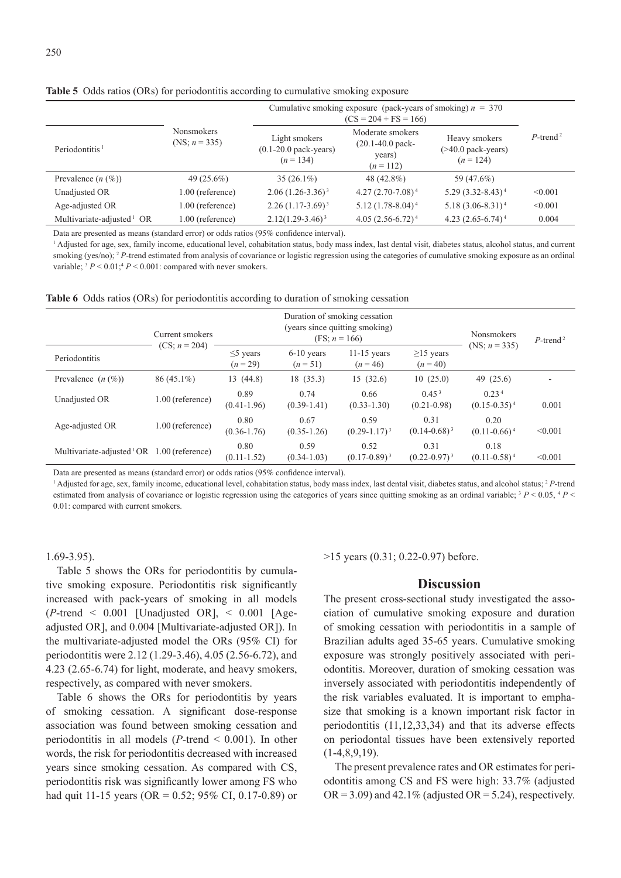|                                 |                                       | Cumulative smoking exposure (pack-years of smoking) $n = 370$   |                                                                          |                                                       |                         |
|---------------------------------|---------------------------------------|-----------------------------------------------------------------|--------------------------------------------------------------------------|-------------------------------------------------------|-------------------------|
| Periodontitis <sup>1</sup>      | <b>Nonsmokers</b><br>(NS; $n = 335$ ) | Light smokers<br>$(0.1-20.0 \text{ pack-years})$<br>$(n = 134)$ | Moderate smokers<br>$(20.1 - 40.0 \text{ pack} -$<br>years)<br>$(n=112)$ | Heavy smokers<br>$($ >40.0 pack-years)<br>$(n = 124)$ | $P$ -trend <sup>2</sup> |
| Prevalence $(n \ (\%))$         | 49 $(25.6\%)$                         | $35(26.1\%)$                                                    | 48 (42.8%)                                                               | 59 (47.6%)                                            |                         |
| Unadjusted OR                   | $1.00$ (reference)                    | $2.06(1.26-3.36)^3$                                             | $4.27(2.70-7.08)^4$                                                      | $5.29(3.32 - 8.43)^4$                                 | < 0.001                 |
| Age-adjusted OR                 | $1.00$ (reference)                    | $2.26(1.17-3.69)^3$                                             | $5.12 (1.78 - 8.04)^4$                                                   | $5.18(3.06 - 8.31)^4$                                 | < 0.001                 |
| Multivariate-adjusted $\,^1$ OR | 1.00 (reference)                      | $2.12(1.29 - 3.46)^3$                                           | $4.05(2.56-6.72)^4$                                                      | 4.23 $(2.65-6.74)^4$                                  | 0.004                   |

**Table 5** Odds ratios (ORs) for periodontitis according to cumulative smoking exposure

Data are presented as means (standard error) or odds ratios (95% confidence interval).

<sup>1</sup> Adjusted for age, sex, family income, educational level, cohabitation status, body mass index, last dental visit, diabetes status, alcohol status, and current smoking (yes/no); <sup>2</sup> *P*-trend estimated from analysis of covariance or logistic regression using the categories of cumulative smoking exposure as an ordinal variable;  $3 P < 0.01$ ;  $4 P < 0.001$ : compared with never smokers.

|  |  |  |  |  |  |  | Table 6 Odds ratios (ORs) for periodontitis according to duration of smoking cessation |  |
|--|--|--|--|--|--|--|----------------------------------------------------------------------------------------|--|
|--|--|--|--|--|--|--|----------------------------------------------------------------------------------------|--|

|                                       | Current smokers    |                            | Duration of smoking cessation<br>(years since quitting smoking)<br>(FS; $n = 166$ ) | Nonsmokers                  | $P$ -trend <sup>2</sup>              |                                      |         |
|---------------------------------------|--------------------|----------------------------|-------------------------------------------------------------------------------------|-----------------------------|--------------------------------------|--------------------------------------|---------|
| Periodontitis                         | $(CS; n = 204)$    | $\leq$ years<br>$(n = 29)$ | $6-10$ years<br>$(n=51)$                                                            | $11-15$ years<br>$(n=46)$   | $\geq$ 15 years<br>$(n = 40)$        | (NS; $n = 335$ )                     |         |
| Prevalence $(n \, (\%)$               | $86(45.1\%)$       | 13(44.8)                   | 18(35.3)                                                                            | 15(32.6)                    | 10(25.0)                             | 49 $(25.6)$                          |         |
| Unadjusted OR                         | 1.00 (reference)   | 0.89<br>$(0.41-1.96)$      | 0.74<br>$(0.39-1.41)$                                                               | 0.66<br>$(0.33 - 1.30)$     | 0.45 <sup>3</sup><br>$(0.21 - 0.98)$ | 0.23 <sup>4</sup><br>$(0.15-0.35)^4$ | 0.001   |
| Age-adjusted OR                       | 1.00 (reference)   | 0.80<br>$(0.36 - 1.76)$    | 0.67<br>$(0.35 - 1.26)$                                                             | 0.59<br>$(0.29 - 1.17)^3$   | 0.31<br>$(0.14 - 0.68)^{3}$          | 0.20<br>$(0.11-0.66)^4$              | < 0.001 |
| Multivariate-adjusted <sup>1</sup> OR | $1.00$ (reference) | 0.80<br>$(0.11 - 1.52)$    | 0.59<br>$(0.34 - 1.03)$                                                             | 0.52<br>$(0.17 - 0.89)^{3}$ | 0.31<br>$(0.22 - 0.97)^{3}$          | 0.18<br>$(0.11 - 0.58)^4$            | < 0.001 |

Data are presented as means (standard error) or odds ratios (95% confidence interval).

<sup>1</sup> Adjusted for age, sex, family income, educational level, cohabitation status, body mass index, last dental visit, diabetes status, and alcohol status; <sup>2</sup> *P*-trend estimated from analysis of covariance or logistic regression using the categories of years since quitting smoking as an ordinal variable; 3 *P* < 0.05, 4 *P* < 0.01: compared with current smokers.

1.69-3.95).

Table 5 shows the ORs for periodontitis by cumulative smoking exposure. Periodontitis risk significantly increased with pack-years of smoking in all models  $(P$ -trend < 0.001 [Unadjusted OR], < 0.001 [Ageadjusted OR], and 0.004 [Multivariate-adjusted OR]). In the multivariate-adjusted model the ORs (95% CI) for periodontitis were 2.12 (1.29-3.46), 4.05 (2.56-6.72), and 4.23 (2.65-6.74) for light, moderate, and heavy smokers, respectively, as compared with never smokers.

Table 6 shows the ORs for periodontitis by years of smoking cessation. A significant dose-response association was found between smoking cessation and periodontitis in all models (*P*-trend < 0.001). In other words, the risk for periodontitis decreased with increased years since smoking cessation. As compared with CS, periodontitis risk was significantly lower among FS who had quit 11-15 years (OR = 0.52; 95% CI, 0.17-0.89) or >15 years (0.31; 0.22-0.97) before.

#### **Discussion**

The present cross-sectional study investigated the association of cumulative smoking exposure and duration of smoking cessation with periodontitis in a sample of Brazilian adults aged 35-65 years. Cumulative smoking exposure was strongly positively associated with periodontitis. Moreover, duration of smoking cessation was inversely associated with periodontitis independently of the risk variables evaluated. It is important to emphasize that smoking is a known important risk factor in periodontitis (11,12,33,34) and that its adverse effects on periodontal tissues have been extensively reported  $(1-4,8,9,19)$ .

The present prevalence rates and OR estimates for periodontitis among CS and FS were high: 33.7% (adjusted  $OR = 3.09$  and 42.1% (adjusted  $OR = 5.24$ ), respectively.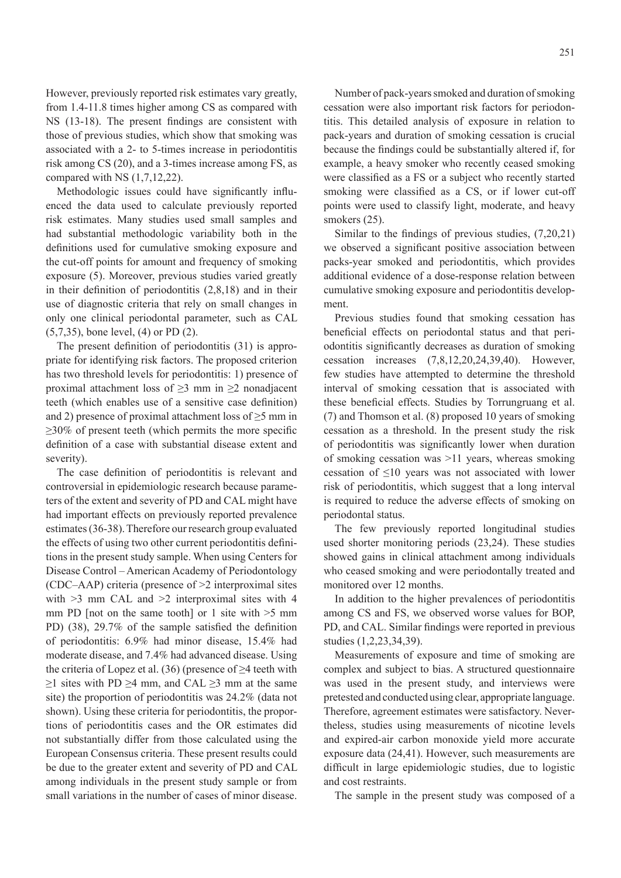However, previously reported risk estimates vary greatly, from 1.4-11.8 times higher among CS as compared with NS (13-18). The present findings are consistent with those of previous studies, which show that smoking was associated with a 2- to 5-times increase in periodontitis risk among CS (20), and a 3-times increase among FS, as compared with NS (1,7,12,22).

Methodologic issues could have significantly influenced the data used to calculate previously reported risk estimates. Many studies used small samples and had substantial methodologic variability both in the definitions used for cumulative smoking exposure and the cut-off points for amount and frequency of smoking exposure (5). Moreover, previous studies varied greatly in their definition of periodontitis (2,8,18) and in their use of diagnostic criteria that rely on small changes in only one clinical periodontal parameter, such as CAL (5,7,35), bone level, (4) or PD (2).

The present definition of periodontitis (31) is appropriate for identifying risk factors. The proposed criterion has two threshold levels for periodontitis: 1) presence of proximal attachment loss of  $\geq$ 3 mm in  $\geq$ 2 nonadjacent teeth (which enables use of a sensitive case definition) and 2) presence of proximal attachment loss of  $\geq$ 5 mm in  $>30\%$  of present teeth (which permits the more specific definition of a case with substantial disease extent and severity).

The case definition of periodontitis is relevant and controversial in epidemiologic research because parameters of the extent and severity of PD and CAL might have had important effects on previously reported prevalence estimates (36-38). Therefore our research group evaluated the effects of using two other current periodontitis definitions in the present study sample. When using Centers for Disease Control – American Academy of Periodontology (CDC–AAP) criteria (presence of >2 interproximal sites with  $>3$  mm CAL and  $>2$  interproximal sites with 4 mm PD [not on the same tooth] or 1 site with  $>5$  mm PD) (38), 29.7% of the sample satisfied the definition of periodontitis: 6.9% had minor disease, 15.4% had moderate disease, and 7.4% had advanced disease. Using the criteria of Lopez et al. (36) (presence of  $\geq$ 4 teeth with  $≥1$  sites with PD  $≥4$  mm, and CAL  $≥3$  mm at the same site) the proportion of periodontitis was 24.2% (data not shown). Using these criteria for periodontitis, the proportions of periodontitis cases and the OR estimates did not substantially differ from those calculated using the European Consensus criteria. These present results could be due to the greater extent and severity of PD and CAL among individuals in the present study sample or from small variations in the number of cases of minor disease.

Number of pack-years smoked and duration of smoking cessation were also important risk factors for periodontitis. This detailed analysis of exposure in relation to pack-years and duration of smoking cessation is crucial because the findings could be substantially altered if, for example, a heavy smoker who recently ceased smoking were classified as a FS or a subject who recently started smoking were classified as a CS, or if lower cut-off points were used to classify light, moderate, and heavy smokers  $(25)$ .

Similar to the findings of previous studies, (7,20,21) we observed a significant positive association between packs-year smoked and periodontitis, which provides additional evidence of a dose-response relation between cumulative smoking exposure and periodontitis development.

Previous studies found that smoking cessation has beneficial effects on periodontal status and that periodontitis significantly decreases as duration of smoking cessation increases (7,8,12,20,24,39,40). However, few studies have attempted to determine the threshold interval of smoking cessation that is associated with these beneficial effects. Studies by Torrungruang et al. (7) and Thomson et al. (8) proposed 10 years of smoking cessation as a threshold. In the present study the risk of periodontitis was significantly lower when duration of smoking cessation was >11 years, whereas smoking cessation of ≤10 years was not associated with lower risk of periodontitis, which suggest that a long interval is required to reduce the adverse effects of smoking on periodontal status.

The few previously reported longitudinal studies used shorter monitoring periods (23,24). These studies showed gains in clinical attachment among individuals who ceased smoking and were periodontally treated and monitored over 12 months.

In addition to the higher prevalences of periodontitis among CS and FS, we observed worse values for BOP, PD, and CAL. Similar findings were reported in previous studies (1,2,23,34,39).

Measurements of exposure and time of smoking are complex and subject to bias. A structured questionnaire was used in the present study, and interviews were pretested and conducted using clear, appropriate language. Therefore, agreement estimates were satisfactory. Nevertheless, studies using measurements of nicotine levels and expired-air carbon monoxide yield more accurate exposure data (24,41). However, such measurements are difficult in large epidemiologic studies, due to logistic and cost restraints.

The sample in the present study was composed of a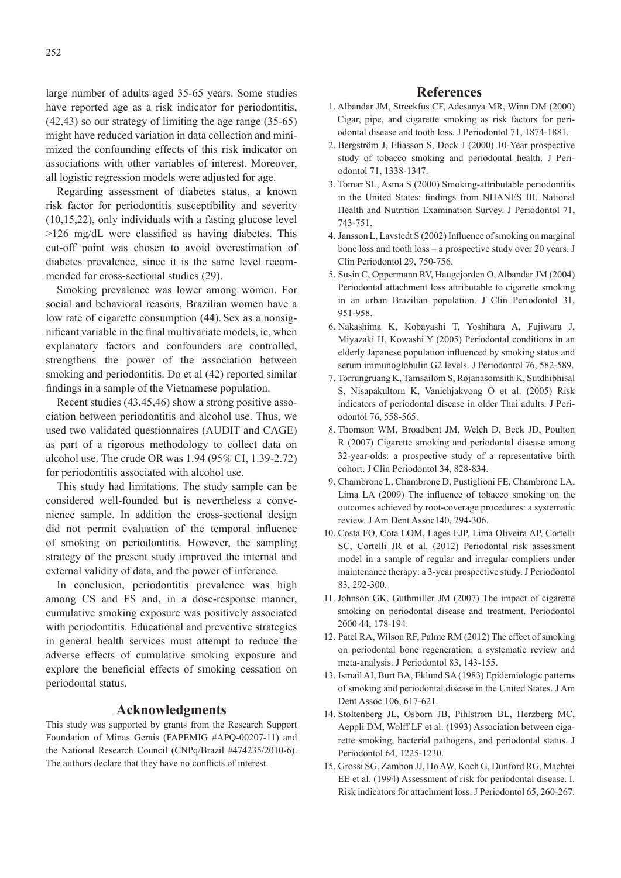large number of adults aged 35-65 years. Some studies have reported age as a risk indicator for periodontitis, (42,43) so our strategy of limiting the age range (35-65) might have reduced variation in data collection and minimized the confounding effects of this risk indicator on associations with other variables of interest. Moreover, all logistic regression models were adjusted for age.

Regarding assessment of diabetes status, a known risk factor for periodontitis susceptibility and severity (10,15,22), only individuals with a fasting glucose level >126 mg/dL were classified as having diabetes. This cut-off point was chosen to avoid overestimation of diabetes prevalence, since it is the same level recommended for cross-sectional studies (29).

Smoking prevalence was lower among women. For social and behavioral reasons, Brazilian women have a low rate of cigarette consumption (44). Sex as a nonsignificant variable in the final multivariate models, ie, when explanatory factors and confounders are controlled, strengthens the power of the association between smoking and periodontitis. Do et al (42) reported similar findings in a sample of the Vietnamese population.

Recent studies (43,45,46) show a strong positive association between periodontitis and alcohol use. Thus, we used two validated questionnaires (AUDIT and CAGE) as part of a rigorous methodology to collect data on alcohol use. The crude OR was 1.94 (95% CI, 1.39-2.72) for periodontitis associated with alcohol use.

This study had limitations. The study sample can be considered well-founded but is nevertheless a convenience sample. In addition the cross-sectional design did not permit evaluation of the temporal influence of smoking on periodontitis. However, the sampling strategy of the present study improved the internal and external validity of data, and the power of inference.

In conclusion, periodontitis prevalence was high among CS and FS and, in a dose-response manner, cumulative smoking exposure was positively associated with periodontitis. Educational and preventive strategies in general health services must attempt to reduce the adverse effects of cumulative smoking exposure and explore the beneficial effects of smoking cessation on periodontal status.

## **Acknowledgments**

This study was supported by grants from the Research Support Foundation of Minas Gerais (FAPEMIG #APQ-00207-11) and the National Research Council (CNPq/Brazil #474235/2010-6). The authors declare that they have no conflicts of interest.

#### **References**

- 1. Albandar JM, Streckfus CF, Adesanya MR, Winn DM (2000) Cigar, pipe, and cigarette smoking as risk factors for periodontal disease and tooth loss. J Periodontol 71, 1874-1881.
- 2. Bergström J, Eliasson S, Dock J (2000) 10-Year prospective study of tobacco smoking and periodontal health. J Periodontol 71, 1338-1347.
- 3. Tomar SL, Asma S (2000) Smoking-attributable periodontitis in the United States: findings from NHANES III. National Health and Nutrition Examination Survey. J Periodontol 71, 743-751.
- 4. Jansson L, Lavstedt S (2002) Influence of smoking on marginal bone loss and tooth loss – a prospective study over 20 years. J Clin Periodontol 29, 750-756.
- 5. Susin C, Oppermann RV, Haugejorden O, Albandar JM (2004) Periodontal attachment loss attributable to cigarette smoking in an urban Brazilian population. J Clin Periodontol 31, 951-958.
- 6. Nakashima K, Kobayashi T, Yoshihara A, Fujiwara J, Miyazaki H, Kowashi Y (2005) Periodontal conditions in an elderly Japanese population influenced by smoking status and serum immunoglobulin G2 levels. J Periodontol 76, 582-589.
- 7. Torrungruang K, Tamsailom S, Rojanasomsith K, Sutdhibhisal S, Nisapakultorn K, Vanichjakvong O et al. (2005) Risk indicators of periodontal disease in older Thai adults. J Periodontol 76, 558-565.
- 8. Thomson WM, Broadbent JM, Welch D, Beck JD, Poulton R (2007) Cigarette smoking and periodontal disease among 32-year-olds: a prospective study of a representative birth cohort. J Clin Periodontol 34, 828-834.
- 9. Chambrone L, Chambrone D, Pustiglioni FE, Chambrone LA, Lima LA (2009) The influence of tobacco smoking on the outcomes achieved by root-coverage procedures: a systematic review. J Am Dent Assoc140, 294-306.
- 10. Costa FO, Cota LOM, Lages EJP, Lima Oliveira AP, Cortelli SC, Cortelli JR et al. (2012) Periodontal risk assessment model in a sample of regular and irregular compliers under maintenance therapy: a 3-year prospective study. J Periodontol 83, 292-300.
- 11. Johnson GK, Guthmiller JM (2007) The impact of cigarette smoking on periodontal disease and treatment. Periodontol 2000 44, 178-194.
- 12. Patel RA, Wilson RF, Palme RM (2012) The effect of smoking on periodontal bone regeneration: a systematic review and meta-analysis. J Periodontol 83, 143-155.
- 13. Ismail AI, Burt BA, Eklund SA (1983) Epidemiologic patterns of smoking and periodontal disease in the United States. J Am Dent Assoc 106, 617-621.
- 14. Stoltenberg JL, Osborn JB, Pihlstrom BL, Herzberg MC, Aeppli DM, Wolff LF et al. (1993) Association between cigarette smoking, bacterial pathogens, and periodontal status. J Periodontol 64, 1225-1230.
- 15. Grossi SG, Zambon JJ, HoAW, Koch G, Dunford RG, Machtei EE et al. (1994) Assessment of risk for periodontal disease. I. Risk indicators for attachment loss. J Periodontol 65, 260-267.